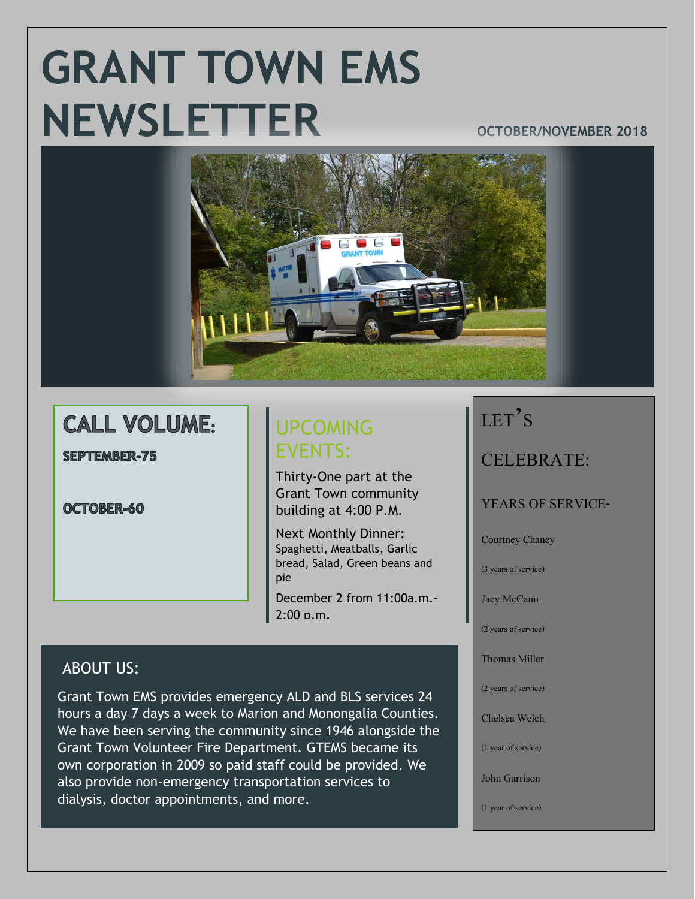# **GRANT TOWN EMS NEWSLETTER OCTOBER/NOVEMBER 2018**



## **CALL VOLUME:**

**SEPTEMBER-75** 

OCTOBER-60

## UPCOMING EVENTS:

Thirty-One part at the Grant Town community building at 4:00 P.M.

Next Monthly Dinner: Spaghetti, Meatballs, Garlic bread, Salad, Green beans and pie

December 2 from 11:00a.m.-  $2:00 \text{ p.m.}$ 

### ABOUT US:

Grant Town EMS provides emergency ALD and BLS services 24 hours a day 7 days a week to Marion and Monongalia Counties. We have been serving the community since 1946 alongside the Grant Town Volunteer Fire Department. GTEMS became its own corporation in 2009 so paid staff could be provided. We also provide non-emergency transportation services to dialysis, doctor appointments, and more.

## LET'S

CELEBRATE:

YEARS OF SERVICE-

Courtney Chaney

(3 years of service)

Jacy McCann

(2 years of service)

Thomas Miller

(2 years of service)

Chelsea Welch

(1 year of service)

John Garrison

(1 year of service)